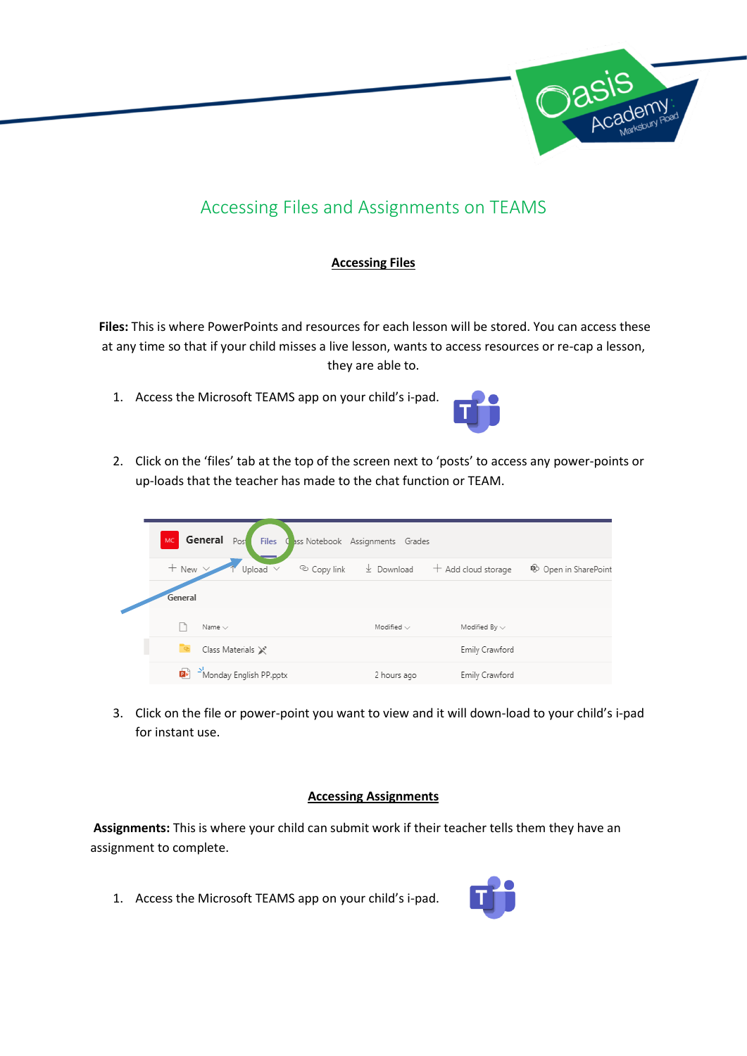

## Accessing Files and Assignments on TEAMS

## **Accessing Files**

**Files:** This is where PowerPoints and resources for each lesson will be stored. You can access these at any time so that if your child misses a live lesson, wants to access resources or re-cap a lesson, they are able to.

1. Access the Microsoft TEAMS app on your child's i-pad.



2. Click on the 'files' tab at the top of the screen next to 'posts' to access any power-points or up-loads that the teacher has made to the chat function or TEAM.

| General Post<br>MC.<br><b>Files</b><br>Cass Notebook Assignments Grades |                         |             |                  |                       |                                 |
|-------------------------------------------------------------------------|-------------------------|-------------|------------------|-----------------------|---------------------------------|
| $+$ New $\vee$                                                          | Upload $\vee$           | © Copy link | $\perp$ Download | $+$ Add cloud storage | <sup>6</sup> Open in SharePoint |
| General                                                                 |                         |             |                  |                       |                                 |
|                                                                         | Name $\vee$             |             | Modified $\vee$  | Modified By $\vee$    |                                 |
|                                                                         | Class Materials X'      |             |                  | Emily Crawford        |                                 |
| p.                                                                      | -Monday English PP.pptx |             | 2 hours ago      | Emily Crawford        |                                 |

3. Click on the file or power-point you want to view and it will down-load to your child's i-pad for instant use.

## **Accessing Assignments**

**Assignments:** This is where your child can submit work if their teacher tells them they have an assignment to complete.

1. Access the Microsoft TEAMS app on your child's i-pad.